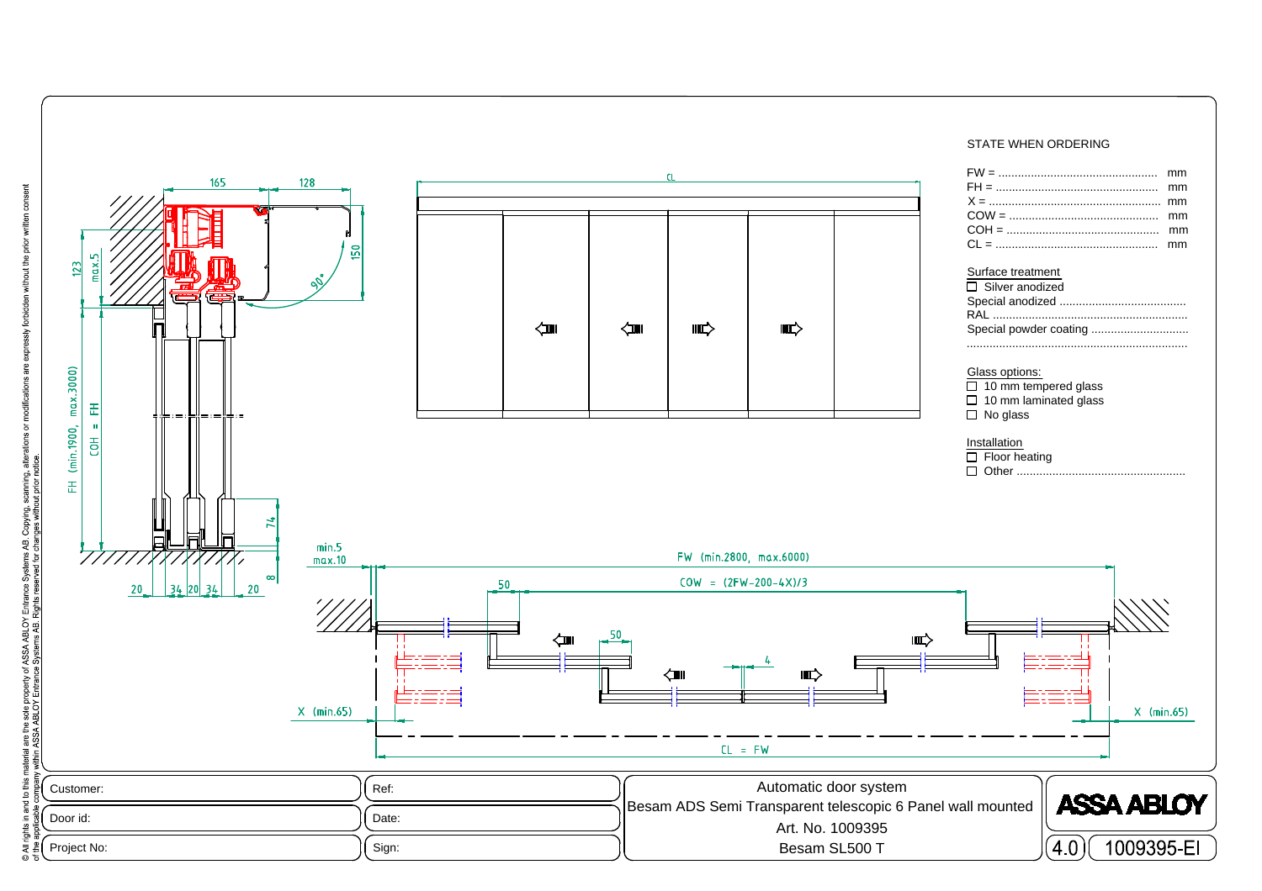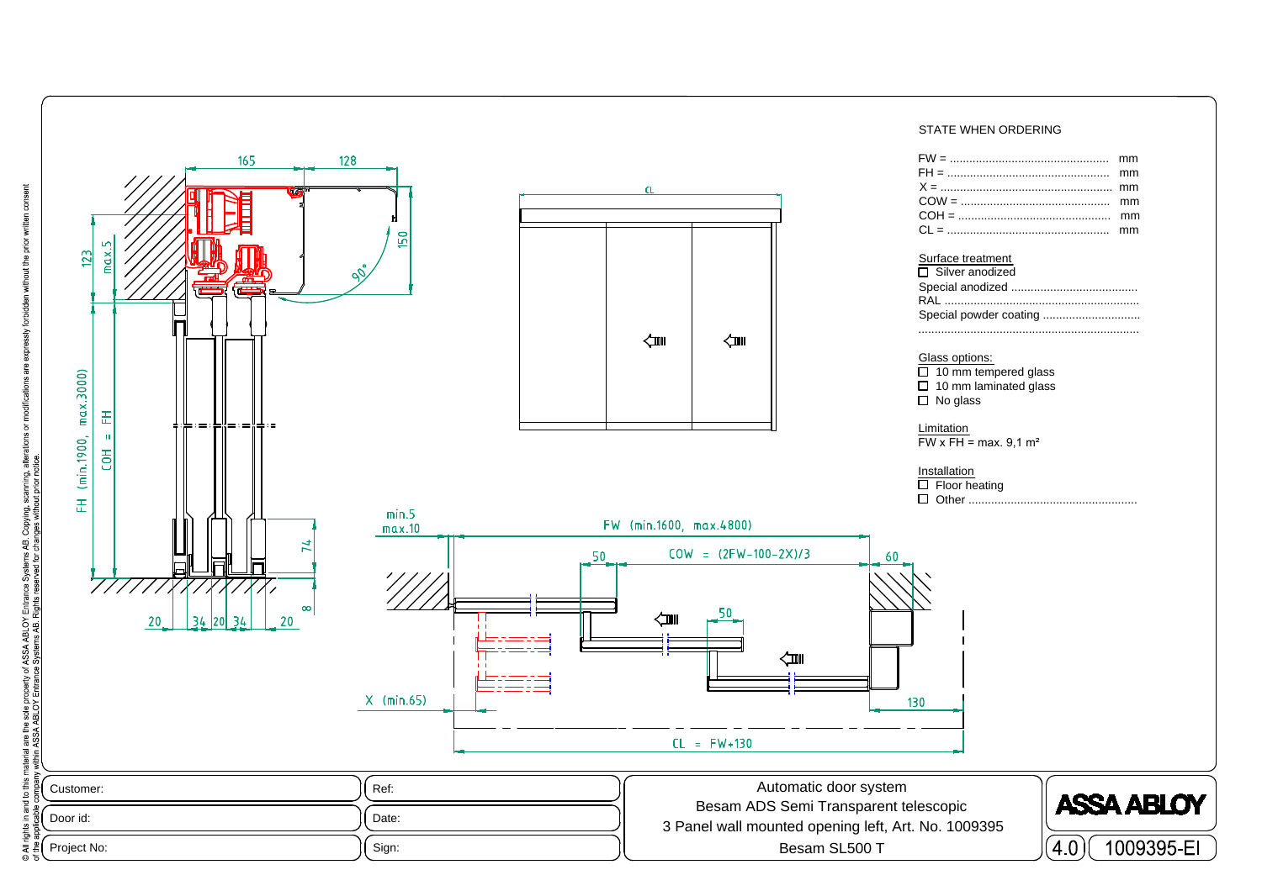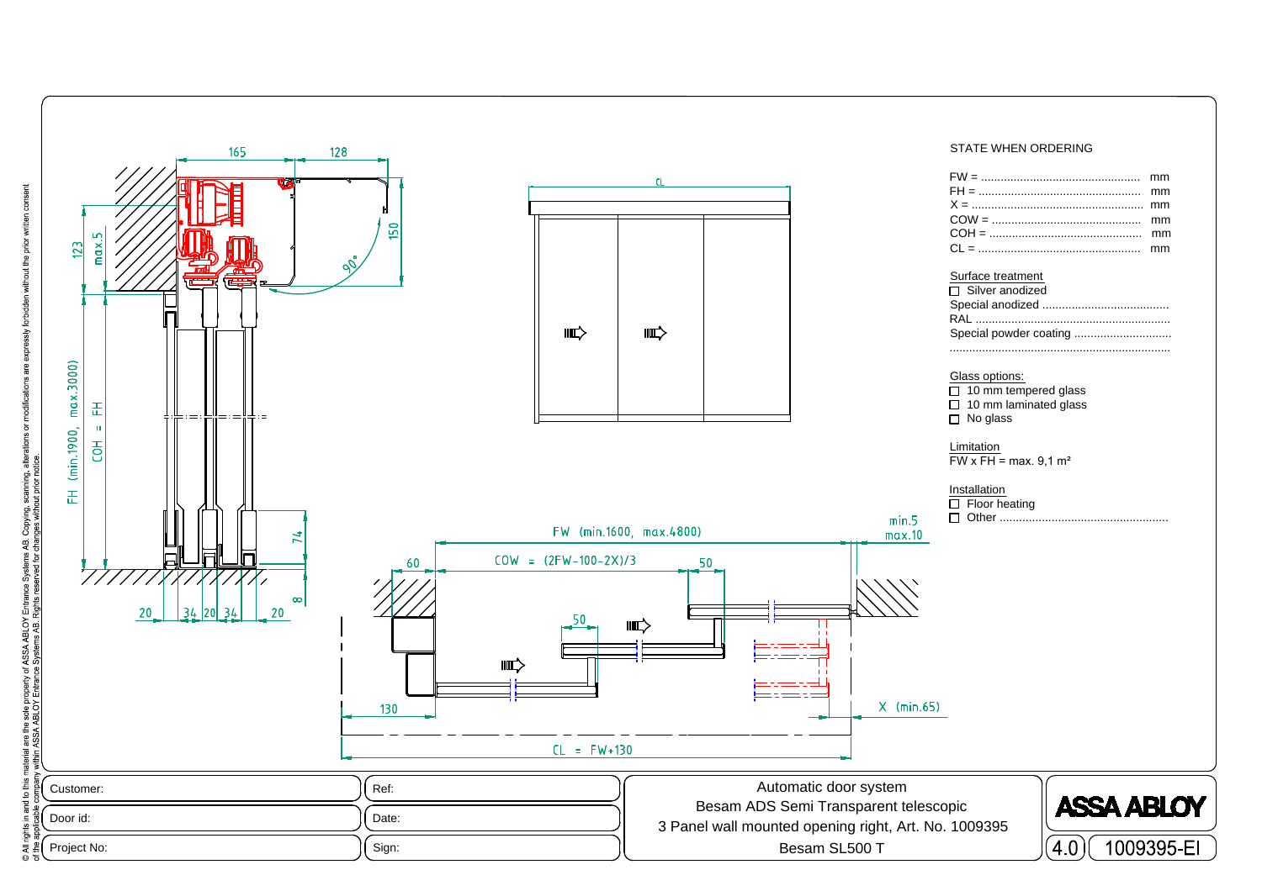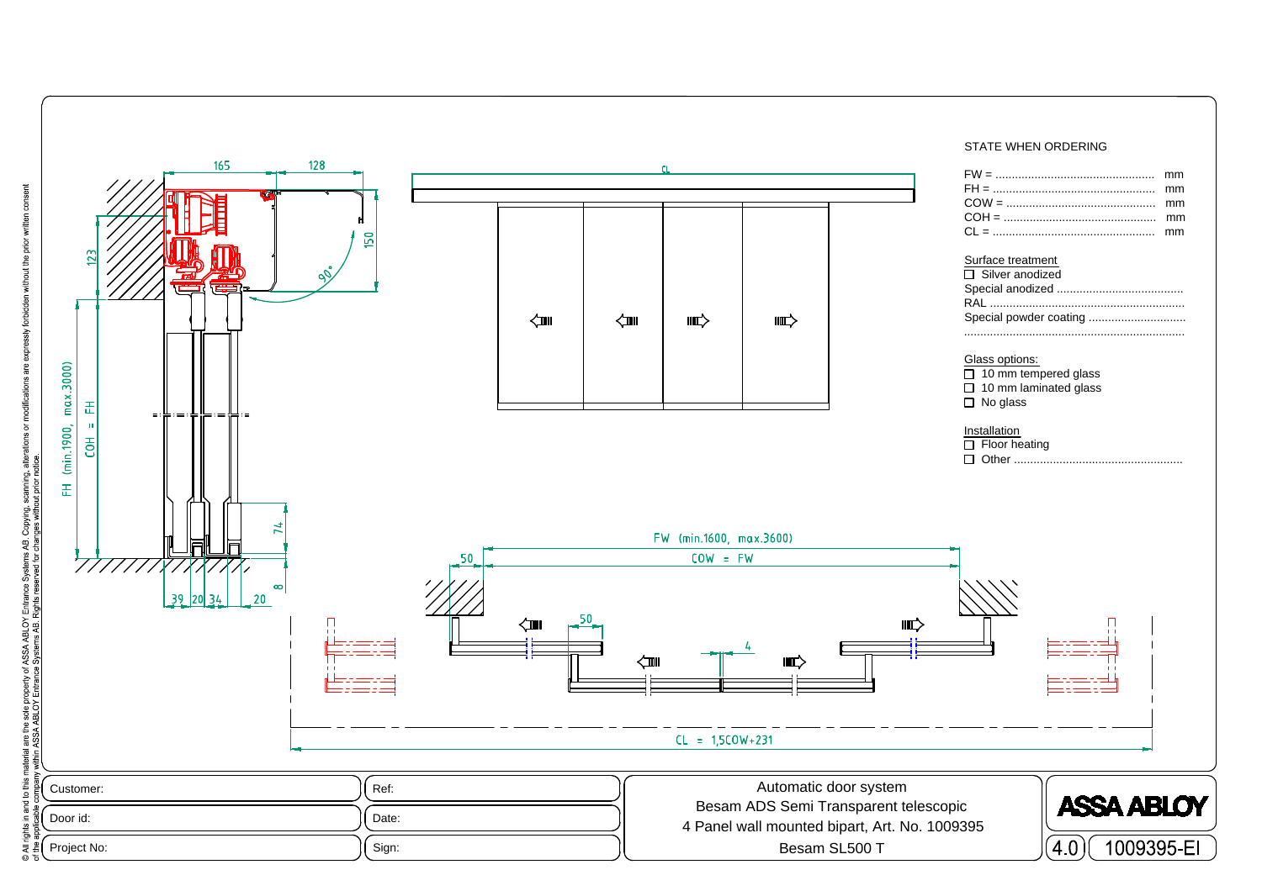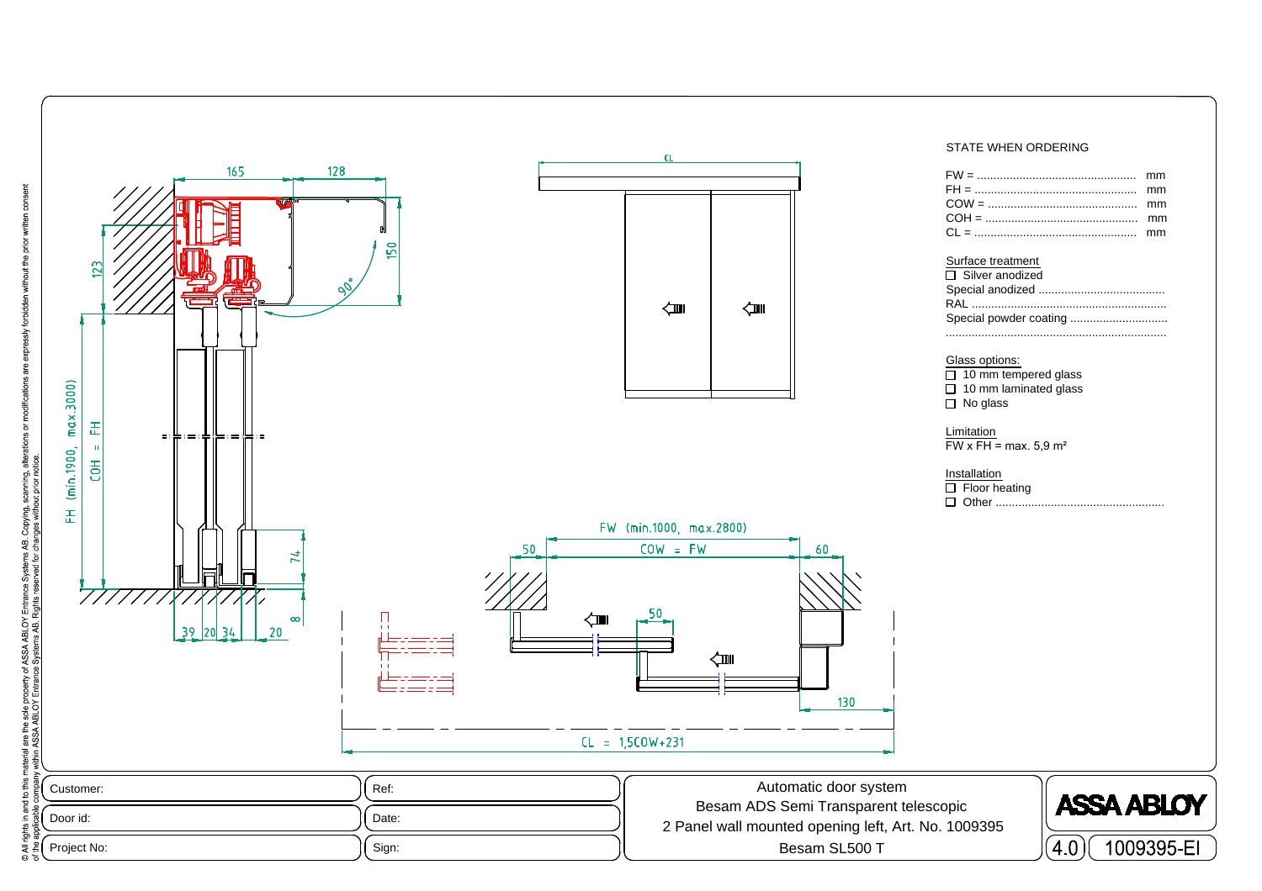